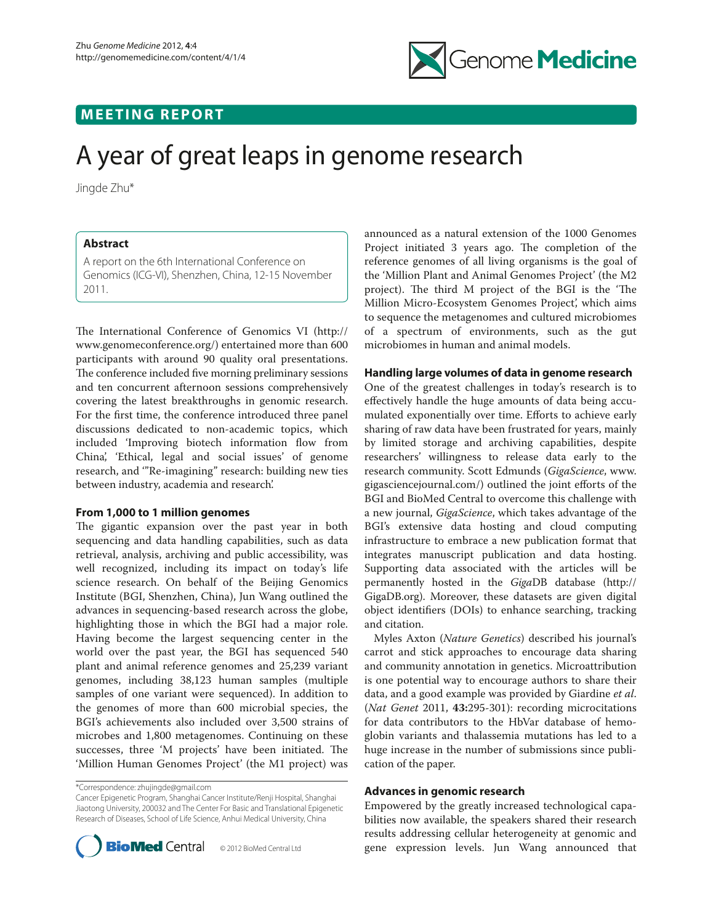

# **MEETING REPORT**

# A year of great leaps in genome research

Jingde Zhu\*

## **Abstract**

A report on the 6th International Conference on Genomics (ICG-VI), Shenzhen, China, 12-15 November 2011.

The International Conference of Genomics VI (http:// www.genomeconference.org/) entertained more than 600 participants with around 90 quality oral presentations. The conference included five morning preliminary sessions and ten concurrent afternoon sessions comprehensively covering the latest breakthroughs in genomic research. For the first time, the conference introduced three panel discussions dedicated to non-academic topics, which included 'Improving biotech information flow from China', 'Ethical, legal and social issues' of genome research, and '"Re-imagining" research: building new ties between industry, academia and research'.

#### **From 1,000 to 1 million genomes**

The gigantic expansion over the past year in both sequencing and data handling capabilities, such as data retrieval, analysis, archiving and public accessibility, was well recognized, including its impact on today's life science research. On behalf of the Beijing Genomics Institute (BGI, Shenzhen, China), Jun Wang outlined the advances in sequencing-based research across the globe, highlighting those in which the BGI had a major role. Having become the largest sequencing center in the world over the past year, the BGI has sequenced 540 plant and animal reference genomes and 25,239 variant genomes, including 38,123 human samples (multiple samples of one variant were sequenced). In addition to the genomes of more than 600 microbial species, the BGI's achievements also included over 3,500 strains of microbes and 1,800 metagenomes. Continuing on these successes, three 'M projects' have been initiated. The 'Million Human Genomes Project' (the M1 project) was

\*Correspondence: zhujingde@gmail.com

Cancer Epigenetic Program, Shanghai Cancer Institute/Renji Hospital, Shanghai Jiaotong University, 200032 and The Center For Basic and Translational Epigenetic Research of Diseases, School of Life Science, Anhui Medical University, China



announced as a natural extension of the 1000 Genomes Project initiated 3 years ago. The completion of the reference genomes of all living organisms is the goal of the 'Million Plant and Animal Genomes Project' (the M2 project). The third M project of the BGI is the 'The Million Micro-Ecosystem Genomes Project', which aims to sequence the metagenomes and cultured microbiomes of a spectrum of environments, such as the gut microbiomes in human and animal models.

## **Handling large volumes of data in genome research**

One of the greatest challenges in today's research is to effectively handle the huge amounts of data being accumulated exponentially over time. Efforts to achieve early sharing of raw data have been frustrated for years, mainly by limited storage and archiving capabilities, despite researchers' willingness to release data early to the research community. Scott Edmunds (*GigaScience*, www. gigasciencejournal.com/) outlined the joint efforts of the BGI and BioMed Central to overcome this challenge with a new journal, *GigaScience*, which takes advantage of the BGI's extensive data hosting and cloud computing infrastructure to embrace a new publication format that integrates manuscript publication and data hosting. Supporting data associated with the articles will be permanently hosted in the *Giga*DB database (http:// GigaDB.org). Moreover, these datasets are given digital object identifiers (DOIs) to enhance searching, tracking and citation.

Myles Axton (*Nature Genetics*) described his journal's carrot and stick approaches to encourage data sharing and community annotation in genetics. Microattribution is one potential way to encourage authors to share their data, and a good example was provided by Giardine *et al*. (*Nat Genet* 2011, **43:**295-301): recording microcitations for data contributors to the HbVar database of hemoglobin variants and thalassemia mutations has led to a huge increase in the number of submissions since publication of the paper.

#### **Advances in genomic research**

Empowered by the greatly increased technological capabilities now available, the speakers shared their research results addressing cellular heterogeneity at genomic and gene expression levels. Jun Wang announced that